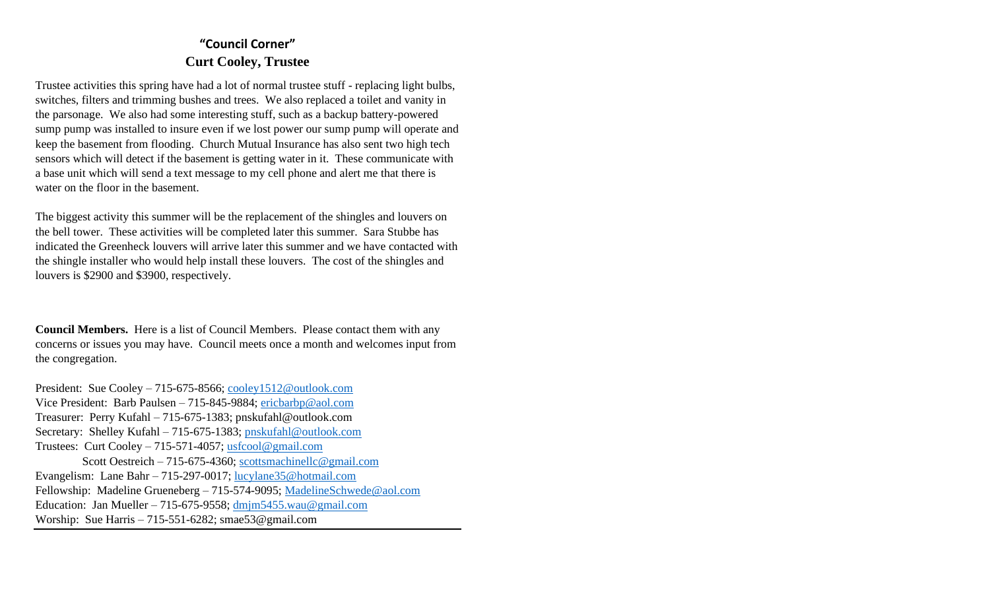# **"Council Corner" Curt Cooley, Trustee**

Trustee activities this spring have had a lot of normal trustee stuff - replacing light bulbs, switches, filters and trimming bushes and trees. We also replaced a toilet and vanity in the parsonage. We also had some interesting stuff, such as a backup battery-powered sump pump was installed to insure even if we lost power our sump pump will operate and keep the basement from flooding. Church Mutual Insurance has also sent two high tech sensors which will detect if the basement is getting water in it. These communicate with a base unit which will send a text message to my cell phone and alert me that there is water on the floor in the basement.

The biggest activity this summer will be the replacement of the shingles and louvers on the bell tower. These activities will be completed later this summer. Sara Stubbe has indicated the Greenheck louvers will arrive later this summer and we have contacted with the shingle installer who would help install these louvers. The cost of the shingles and louvers is \$2900 and \$3900, respectively.

**Council Members.** Here is a list of Council Members. Please contact them with any concerns or issues you may have. Council meets once a month and welcomes input from the congregation.

President: Sue Cooley – 715-675-8566; [cooley1512@outlook.com](mailto:cooley1512@outlook.com) Vice President: Barb Paulsen – 715-845-9884; [ericbarbp@aol.com](mailto:ericbarbp@aol.com) Treasurer: Perry Kufahl – 715-675-1383; pnskufahl@outlook.com Secretary: Shelley Kufahl – 715-675-1383; [pnskufahl@outlook.com](mailto:pnskufahl@outlook.com) Trustees: Curt Cooley – 715-571-4057; [usfcool@gmail.com](mailto:usfcool@gmail.com) Scott Oestreich – 715-675-4360; [scottsmachinellc@gmail.com](mailto:scottsmachinellc@gmail.com) Evangelism: Lane Bahr – 715-297-0017; [lucylane35@hotmail.com](mailto:lucylane35@hotmail.com) Fellowship: Madeline Grueneberg – 715-574-9095; [MadelineSchwede@aol.com](mailto:MadelineSchwede@aol.com) Education: Jan Mueller – 715-675-9558; [dmjm5455.wau@gmail.com](mailto:dmjm5455.wau@gmail.com) Worship: Sue Harris – 715-551-6282; smae53@gmail.com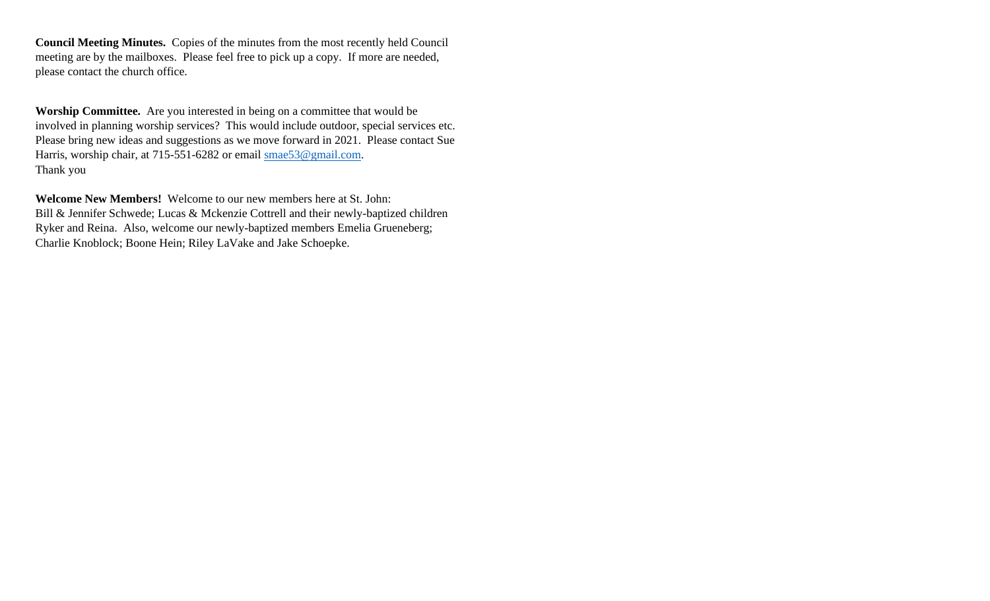**Council Meeting Minutes.** Copies of the minutes from the most recently held Council meeting are by the mailboxes. Please feel free to pick up a copy. If more are needed, please contact the church office.

**Worship Committee.** Are you interested in being on a committee that would be involved in planning worship services? This would include outdoor, special services etc. Please bring new ideas and suggestions as we move forward in 2021. Please contact Sue Harris, worship chair, at 715-551-6282 or email [smae53@gmail.com.](mailto:smae53@gmail.com) Thank you

**Welcome New Members!** Welcome to our new members here at St. John: Bill & Jennifer Schwede; Lucas & Mckenzie Cottrell and their newly-baptized children Ryker and Reina. Also, welcome our newly-baptized members Emelia Grueneberg; Charlie Knoblock; Boone Hein; Riley LaVake and Jake Schoepke.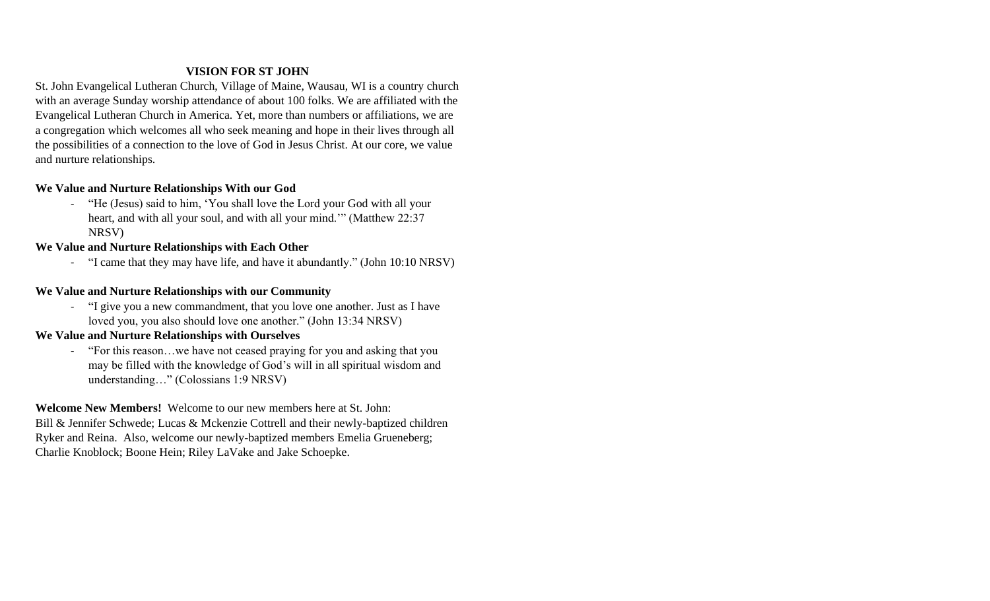## **VISION FOR ST JOHN**

St. John Evangelical Lutheran Church, Village of Maine, Wausau, WI is a country church with an average Sunday worship attendance of about 100 folks. We are affiliated with the Evangelical Lutheran Church in America. Yet, more than numbers or affiliations, we are a congregation which welcomes all who seek meaning and hope in their lives through all the possibilities of a connection to the love of God in Jesus Christ. At our core, we value and nurture relationships.

## **We Value and Nurture Relationships With our God**

- "He (Jesus) said to him, 'You shall love the Lord your God with all your heart, and with all your soul, and with all your mind.'" (Matthew 22:37 NRSV)

## **We Value and Nurture Relationships with Each Other**

- "I came that they may have life, and have it abundantly." (John 10:10 NRSV)

## **We Value and Nurture Relationships with our Community**

- "I give you a new commandment, that you love one another. Just as I have loved you, you also should love one another." (John 13:34 NRSV)

## **We Value and Nurture Relationships with Ourselves**

- "For this reason…we have not ceased praying for you and asking that you may be filled with the knowledge of God's will in all spiritual wisdom and understanding…" (Colossians 1:9 NRSV)

**Welcome New Members!** Welcome to our new members here at St. John: Bill & Jennifer Schwede; Lucas & Mckenzie Cottrell and their newly-baptized children Ryker and Reina. Also, welcome our newly-baptized members Emelia Grueneberg; Charlie Knoblock; Boone Hein; Riley LaVake and Jake Schoepke.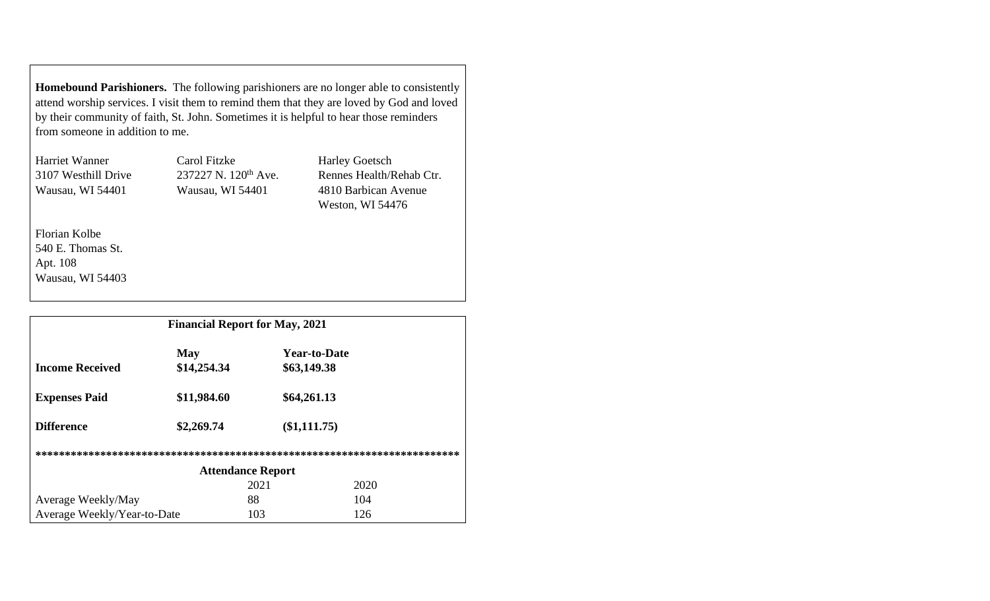**Homebound Parishioners.** The following parishioners are no longer able to consistently attend worship services. I visit them to remind them that they are loved by God and loved by their community of faith, St. John. Sometimes it is helpful to hear those reminders from someone in addition to me.

| Harriet Wanner      | Carol Fitzke                     | <b>Harley Goetsch</b>    |
|---------------------|----------------------------------|--------------------------|
| 3107 Westhill Drive | 237227 N. 120 <sup>th</sup> Ave. | Rennes Health/Rehab Ctr. |
| Wausau, WI 54401    | Wausau, WI 54401                 | 4810 Barbican Avenue     |
|                     |                                  | Weston, WI 54476         |
|                     |                                  |                          |

Florian Kolbe 540 E. Thomas St. Apt. 108 Wausau, WI 54403

| <b>Financial Report for May, 2021</b> |                           |      |                                    |  |
|---------------------------------------|---------------------------|------|------------------------------------|--|
| <b>Income Received</b>                | <b>May</b><br>\$14,254.34 |      | <b>Year-to-Date</b><br>\$63,149.38 |  |
| <b>Expenses Paid</b>                  | \$11,984.60               |      | \$64,261.13                        |  |
| <b>Difference</b>                     | \$2,269.74                |      | $(\$1,111.75)$                     |  |
|                                       |                           |      |                                    |  |
| <b>Attendance Report</b>              |                           |      |                                    |  |
|                                       |                           | 2021 | 2020                               |  |
| Average Weekly/May                    |                           | 88   | 104                                |  |
| Average Weekly/Year-to-Date           |                           | 103  | 126                                |  |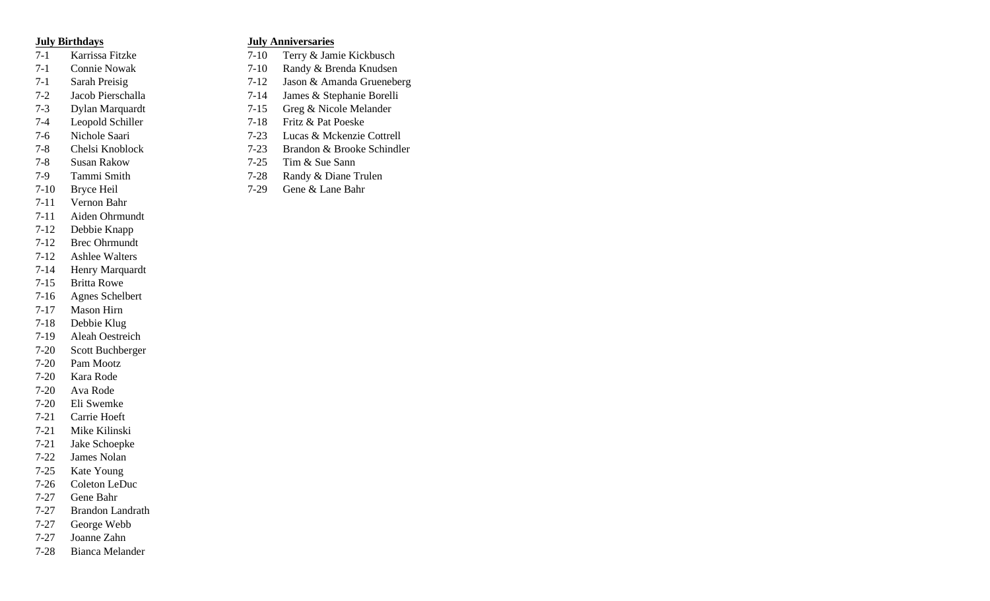- 
- 
- 
- 
- 
- 
- 
- 
- 
- 
- 
- 7-11 Vernon Bahr
- 7-11 Aiden Ohrmundt
- 7-12 Debbie Knapp
- 7-12 Brec Ohrmundt
- 7-12 Ashlee Walters
- 7-14 Henry Marquardt
- 7-15 Britta Rowe
- 7-16 Agnes Schelbert
- 7-17 Mason Hirn
- 7-18 Debbie Klug
- 7-19 Aleah Oestreich
- 7-20 Scott Buchberger
- 7-20 Pam Mootz
- 7-20 Kara Rode
- 7-20 Ava Rode
- 7-20 Eli Swemke
- 7-21 Carrie Hoeft
- 7-21 Mike Kilinski
- 7-21 Jake Schoepke
- 7-22 James Nolan
- 7-25 Kate Young
- 7-26 Coleton LeDuc
- 7-27 Gene Bahr
- 7-27 Brandon Landrath
- 7-27 George Webb
- 7-27 Joanne Zahn
- 7-28 Bianca Melander

#### **July Birthdays July Anniversaries**

- 7-1 Karrissa Fitzke 7-10 Terry & Jamie Kickbusch
- 7-1 Connie Nowak 7-10 Randy & Brenda Knudsen
- 7-1 Sarah Preisig 7-12 Jason & Amanda Grueneberg
- 7-2 Jacob Pierschalla 7-14 James & Stephanie Borelli
- 7-3 Dylan Marquardt 7-15 Greg & Nicole Melander
- 7-4 Leopold Schiller 7-18 Fritz & Pat Poeske
- 7-6 Nichole Saari 7-23 Lucas & Mckenzie Cottrell
- 7-8 Chelsi Knoblock 7-23 Brandon & Brooke Schindler
- 7-8 Susan Rakow 7-25 Tim & Sue Sann
- 7-9 Tammi Smith 7-28 Randy & Diane Trulen
- 7-10 Bryce Heil 7-29 Gene & Lane Bahr